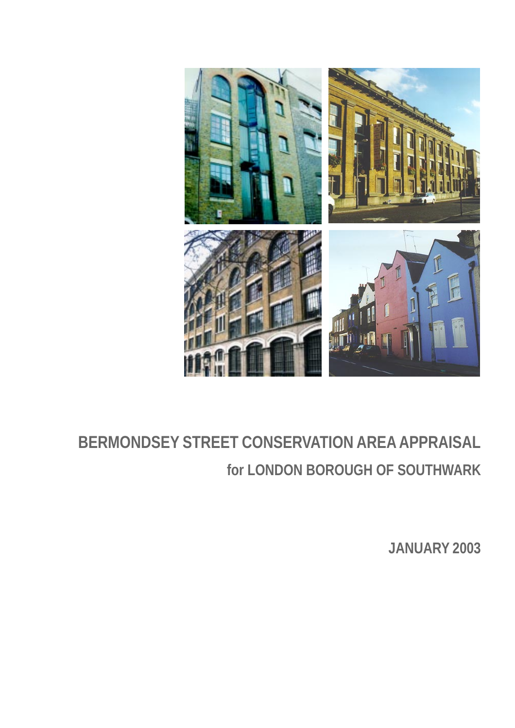

# **BERMONDSEY STREET CONSERVATION AREA APPRAISAL for LONDON BOROUGH OF SOUTHWARK**

**JANUARY 2003**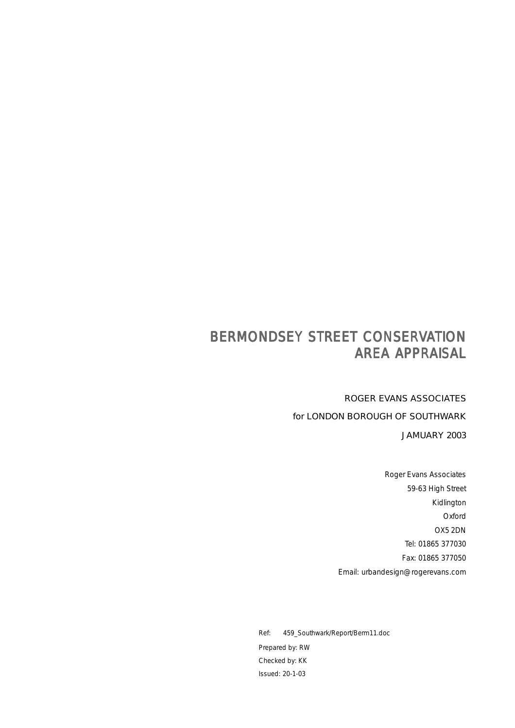# BERMONDSEY STREET CONSERVATION **AREA APPRAISAL**

ROGER EVANS ASSOCIATES for LONDON BOROUGH OF SOUTHWARK

JAMUARY 2003

Roger Evans Associates 59-63 High Street Kidlington Oxford OX5 2DN Tel: 01865 377030 Fax: 01865 377050 Email: urbandesign@rogerevans.com

Ref: 459\_Southwark/Report/Berm11.doc Prepared by: RW Checked by: KK Issued: 20-1-03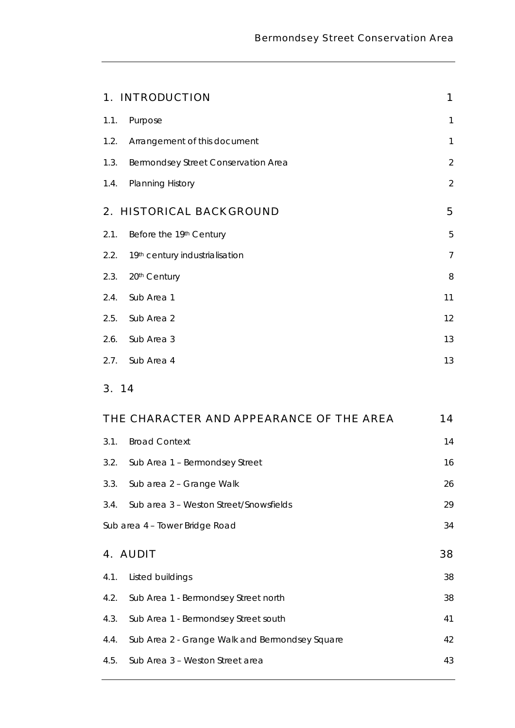|      | 1. INTRODUCTION                     | 1              |
|------|-------------------------------------|----------------|
| 1.1. | Purpose                             | $\mathbf{1}$   |
| 1.2. | Arrangement of this document        | $\mathbf{1}$   |
| 1.3. | Bermondsey Street Conservation Area | $\overline{2}$ |
| 1.4. | <b>Planning History</b>             | $\overline{2}$ |
|      | 2. HISTORICAL BACKGROUND            | 5              |
| 2.1. | Before the 19th Century             | 5              |
| 2.2. | 19th century industrialisation      | $\overline{7}$ |
| 2.3. | 20th Century                        | 8              |
| 2.4. | Sub Area 1                          | 11             |
| 2.5. | Sub Area 2                          | 12             |
| 2.6. | Sub Area 3                          | 13             |
| 2.7. | Sub Area 4                          | 13             |

# 3. 14

| THE CHARACTER AND APPEARANCE OF THE AREA<br>14 |                                                |    |  |  |
|------------------------------------------------|------------------------------------------------|----|--|--|
| 3.1.                                           | <b>Broad Context</b>                           | 14 |  |  |
| 3.2.                                           | Sub Area 1 - Bermondsey Street                 | 16 |  |  |
| 3.3.                                           | Sub area 2 - Grange Walk                       | 26 |  |  |
| 3.4.                                           | Sub area 3 – Weston Street/Snowsfields         | 29 |  |  |
| 34<br>Sub area 4 - Tower Bridge Road           |                                                |    |  |  |
|                                                |                                                |    |  |  |
|                                                | 4. AUDIT                                       | 38 |  |  |
| 4.1.                                           | Listed buildings                               | 38 |  |  |
| 4.2.                                           | Sub Area 1 - Bermondsey Street north           | 38 |  |  |
| 4.3.                                           | Sub Area 1 - Bermondsey Street south           | 41 |  |  |
| 4.4.                                           | Sub Area 2 - Grange Walk and Bermondsey Square | 42 |  |  |
| 4.5.                                           | Sub Area 3 - Weston Street area                | 43 |  |  |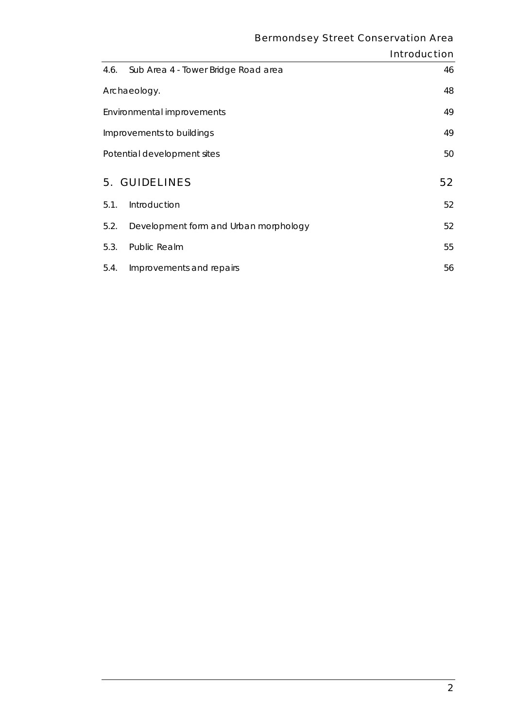|                             |                                       | <b>Introduction</b> |
|-----------------------------|---------------------------------------|---------------------|
| 4.6.                        | Sub Area 4 - Tower Bridge Road area   | 46                  |
| Archaeology.                |                                       | 48                  |
| Environmental improvements  |                                       | 49                  |
|                             | Improvements to buildings             | 49                  |
| Potential development sites |                                       | 50                  |
|                             | <b>5. GUIDELINES</b>                  | 52                  |
| 5.1.                        | Introduction                          | 52                  |
| 5.2.                        | Development form and Urban morphology | 52                  |
| 5.3.                        | Public Realm                          | 55                  |
| 5.4.                        | Improvements and repairs              | 56                  |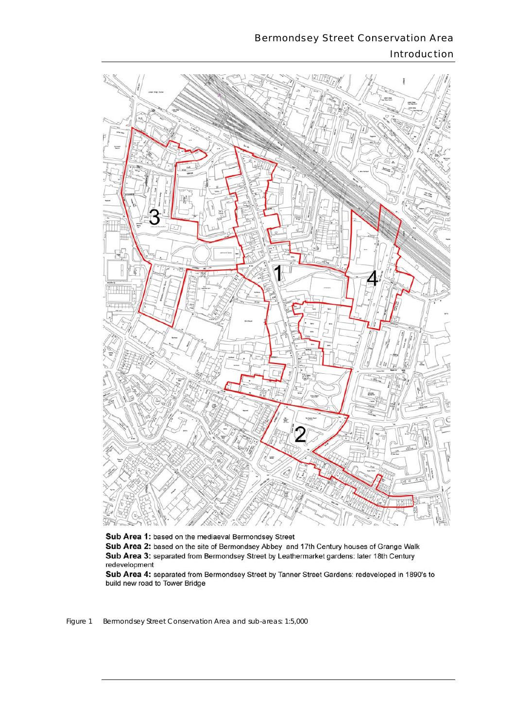## Bermondsey Street Conservation Area Introduction



Sub Area 1: based on the mediaeval Bermondsey Street Sub Area 2: based on the site of Bermondsey Abbey and 17th Century houses of Grange Walk Sub Area 3: separated from Bermondsey Street by Leathermarket gardens: later 18th Century redevelopment

Sub Area 4: separated from Bermondsey Street by Tanner Street Gardens: redeveloped in 1890's to build new road to Tower Bridge

**Figure 1** *Figure 1 Bermondsey Street Conservation Area and sub-areas: 1:5,000*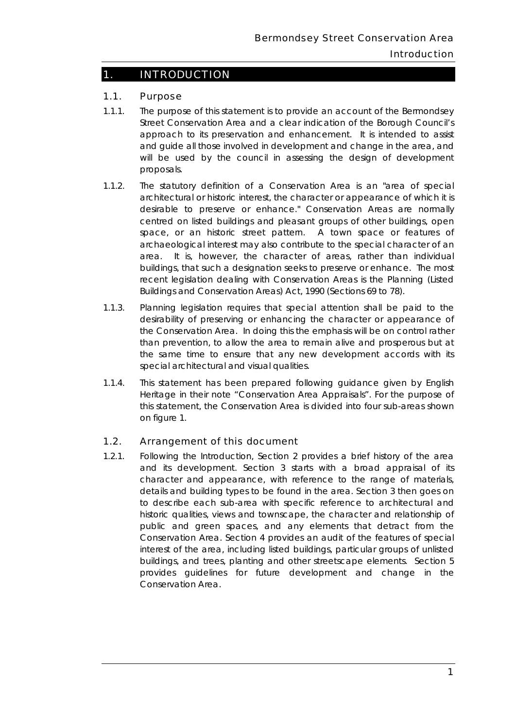## 1. INTRODUCTION

#### 1.1. Purpose

- approach to its preservation and enhancement. It is intended to assist 1.1.1. The purpose of this statement is to provide an account of the Bermondsey Street Conservation Area and a clear indication of the Borough Council's and guide all those involved in development and change in the area, and will be used by the council in assessing the design of development proposals.
- area. Buildings and Conservation Areas) Act, 1990 (Sections 69 to 78). 1.1.2. The statutory definition of a Conservation Area is an "area of special architectural or historic interest, the character or appearance of which it is desirable to preserve or enhance." Conservation Areas are normally centred on listed buildings and pleasant groups of other buildings, open space, or an historic street pattern. A town space or features of archaeological interest may also contribute to the special character of an It is, however, the character of areas, rather than individual buildings, that such a designation seeks to preserve or enhance. The most recent legislation dealing with Conservation Areas is the Planning (Listed
- the Conservation Area. In doing this the emphasis will be on control rather than prevention, to allow the area to remain alive and prosperous but at the same time to ensure that any new development accords with its 1.1.3. Planning legislation requires that special attention shall be paid to the desirability of preserving or enhancing the character or appearance of special architectural and visual qualities.
- 1.1.4. This statement has been prepared following guidance given by English Heritage in their note "Conservation Area Appraisals". For the purpose of this statement, the Conservation Area is divided into four sub-areas shown on figure 1.

#### 1.2. Arrangement of this document

 details and building types to be found in the area. Section 3 then goes on to describe each sub-area with specific reference to architectural and 1.2.1. Following the Introduction, Section 2 provides a brief history of the area and its development. Section 3 starts with a broad appraisal of its character and appearance, with reference to the range of materials, historic qualities, views and townscape, the character and relationship of public and green spaces, and any elements that detract from the Conservation Area. Section 4 provides an audit of the features of special interest of the area, including listed buildings, particular groups of unlisted buildings, and trees, planting and other streetscape elements. Section 5 provides guidelines for future development and change in the Conservation Area.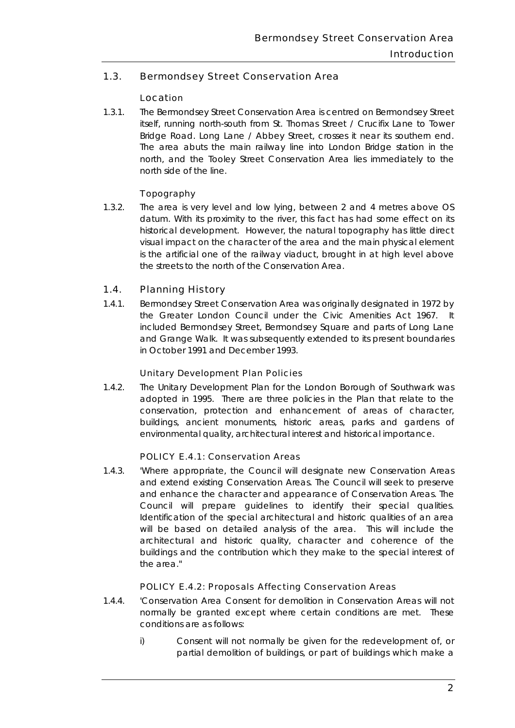### 1.3. Bermondsey Street Conservation Area

#### Location

Bridge Road. Long Lane / Abbey Street, crosses it near its southern end. north, and the Tooley Street Conservation Area lies immediately to the 1.3.1. The Bermondsey Street Conservation Area is centred on Bermondsey Street itself, running north-south from St. Thomas Street / Crucifix Lane to Tower The area abuts the main railway line into London Bridge station in the north side of the line.

#### **Topography**

 datum. With its proximity to the river, this fact has had some effect on its the streets to the north of the Conservation Area. 1.3.2. The area is very level and low lying, between 2 and 4 metres above OS historical development. However, the natural topography has little direct visual impact on the character of the area and the main physical element is the artificial one of the railway viaduct, brought in at high level above

#### 1.4. Planning History

 1.4.1. Bermondsey Street Conservation Area was originally designated in 1972 by the Greater London Council under the Civic Amenities Act 1967. It included Bermondsey Street, Bermondsey Square and parts of Long Lane and Grange Walk. It was subsequently extended to its present boundaries in October 1991 and December 1993.

#### Unitary Development Plan Policies

 adopted in 1995. There are three policies in the Plan that relate to the 1.4.2. The Unitary Development Plan for the London Borough of Southwark was conservation, protection and enhancement of areas of character, buildings, ancient monuments, historic areas, parks and gardens of environmental quality, architectural interest and historical importance.

#### POLICY E.4.1: Conservation Areas

 and extend existing Conservation Areas. The Council will seek to preserve Council will prepare guidelines to identify their special qualities. buildings and the contribution which they make to the special interest of 1.4.3. 'Where appropriate, the Council will designate new Conservation Areas and enhance the character and appearance of Conservation Areas. The Identification of the special architectural and historic qualities of an area will be based on detailed analysis of the area. This will include the architectural and historic quality, character and coherence of the the area."

#### POLICY E.4.2: Proposals Affecting Conservation Areas

- 1.4.4. 'Conservation Area Consent for demolition in Conservation Areas will not normally be granted except where certain conditions are met. These conditions are as follows:
	- i) Consent will not normally be given for the redevelopment of, or partial demolition of buildings, or part of buildings which make a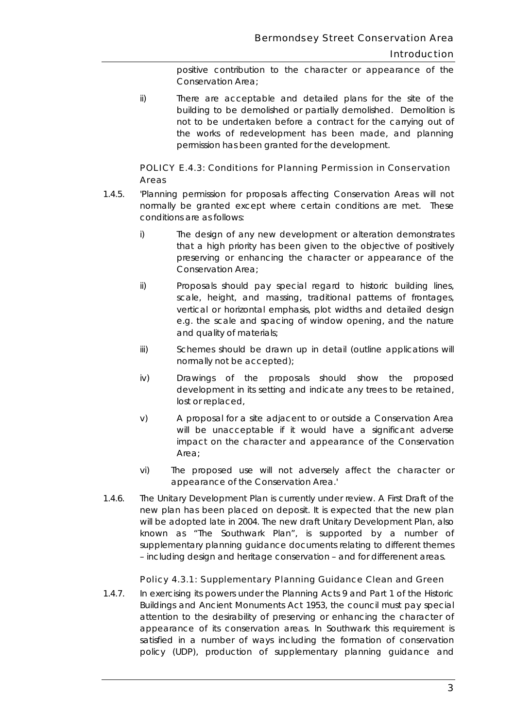positive contribution to the character or appearance of the Conservation Area;

 building to be demolished or partially demolished. Demolition is ii) There are acceptable and detailed plans for the site of the not to be undertaken before a contract for the carrying out of the works of redevelopment has been made, and planning permission has been granted for the development.

#### POLICY E.4.3: Conditions for Planning Permission in Conservation Areas

- 1.4.5. 'Planning permission for proposals affecting Conservation Areas will not normally be granted except where certain conditions are met. These conditions are as follows:
	- i) The design of any new development or alteration demonstrates that a high priority has been given to the objective of positively preserving or enhancing the character or appearance of the Conservation Area;
	- ii) Proposals should pay special regard to historic building lines, scale, height, and massing, traditional patterns of frontages, vertical or horizontal emphasis, plot widths and detailed design e.g. the scale and spacing of window opening, and the nature and quality of materials;
	- iii) Schemes should be drawn up in detail (outline applications will normally not be accepted);
	- iv) Drawings of the proposals should show the proposed development in its setting and indicate any trees to be retained, lost or replaced,
	- v) A proposal for a site adjacent to or outside a Conservation Area will be unacceptable if it would have a significant adverse impact on the character and appearance of the Conservation Area;
	- vi) The proposed use will not adversely affect the character or appearance of the Conservation Area.'
- new plan has been placed on deposit. It is expected that the new plan will be adopted late in 2004. The new draft Unitary Development Plan, also – including design and heritage conservation – and for differenent areas. 1.4.6. The Unitary Development Plan is currently under review. A First Draft of the known as "The Southwark Plan", is supported by a number of supplementary planning guidance documents relating to different themes

#### Policy 4.3.1: Supplementary Planning Guidance Clean and Green

 attention to the desirability of preserving or enhancing the character of 1.4.7. In exercising its powers under the Planning Acts 9 and Part 1 of the Historic Buildings and Ancient Monuments Act 1953, the council must pay special appearance of its conservation areas. In Southwark this requirement is satisfied in a number of ways including the formation of conservation policy (UDP), production of supplementary planning guidance and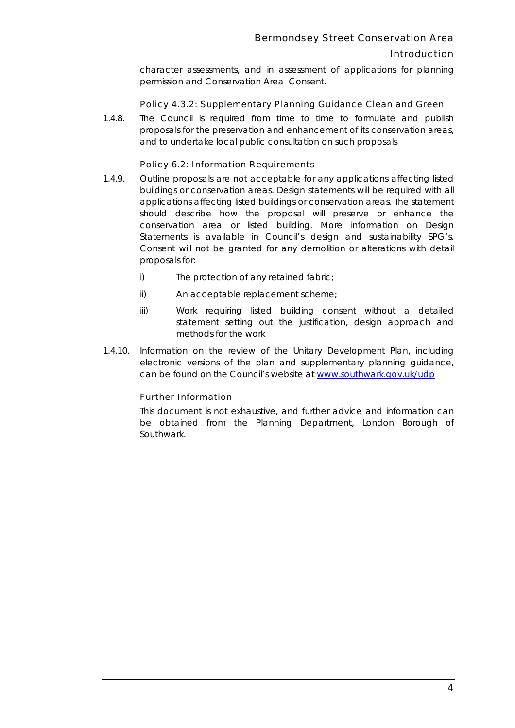#### **Introduction**

character assessments, and in assessment of applications for planning permission and Conservation Area Consent.

#### Policy 4.3.2: Supplementary Planning Guidance Clean and Green

 $1.4.8.$ The Council is required from time to time to formulate and publish proposals for the preservation and enhancement of its conservation areas, and to undertake local public consultation on such proposals

#### Policy 6.2: Information Requirements

- should describe how the proposal will preserve or enhance the 1.4.9. Outline proposals are not acceptable for any applications affecting listed buildings or conservation areas. Design statements will be required with all applications affecting listed buildings or conservation areas. The statement conservation area or listed building. More information on Design Statements is available in Council's design and sustainability SPG's. Consent will not be granted for any demolition or alterations with detail proposals for:
	- i) The protection of any retained fabric;
	- ii) An acceptable replacement scheme;
	- iii) Work requiring listed building consent without a detailed statement setting out the justification, design approach and methods for the work
- 1.4.10. Information on the review of the Unitary Development Plan, including electronic versions of the plan and supplementary planning guidance, can be found on the Council's website at www.southwark.gov.uk/udp

#### Further Information

*This document is not exhaustive, and further advice and information can be obtained from the Planning Department, London Borough of Southwark.*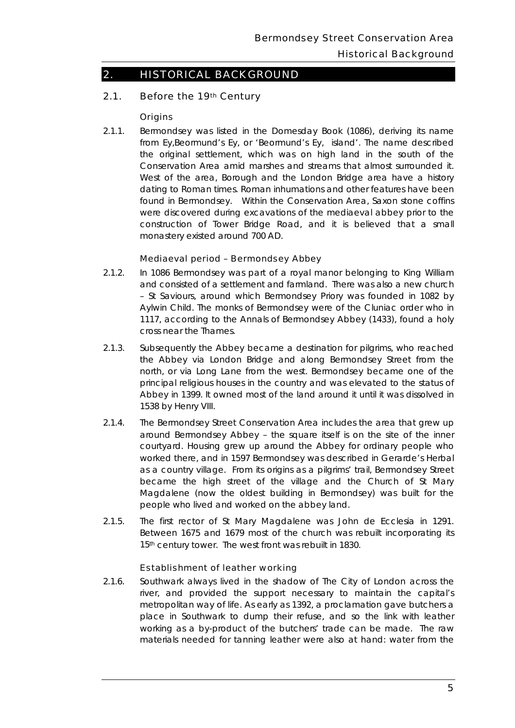#### Historical Background

# 2. HISTORICAL BACKGROUND

#### 2.1. Before the 19th Century

#### **Origins**

2.1.1. Bermondsey was listed in the Domesday Book (1086), deriving its name were discovered during excavations of the mediaeval abbey prior to the from Ey,Beormund's Ey, or 'Beormund's Ey, island'. The name described the original settlement, which was on high land in the south of the Conservation Area amid marshes and streams that almost surrounded it. West of the area, Borough and the London Bridge area have a history dating to Roman times. Roman inhumations and other features have been found in Bermondsey. Within the Conservation Area, Saxon stone coffins construction of Tower Bridge Road, and it is believed that a small monastery existed around 700 AD.

#### Mediaeval period – Bermondsey Abbey

- 2.1.2. In 1086 Bermondsey was part of a royal manor belonging to King William cross near the Thames. and consisted of a settlement and farmland. There was also a new church – St Saviours, around which Bermondsey Priory was founded in 1082 by Aylwin Child. The monks of Bermondsey were of the Cluniac order who in 1117, according to the Annals of Bermondsey Abbey (1433), found a holy
- 2.1.3. Subsequently the Abbey became a destination for pilgrims, who reached the Abbey via London Bridge and along Bermondsey Street from the north, or via Long Lane from the west. Bermondsey became one of the principal religious houses in the country and was elevated to the status of Abbey in 1399. It owned most of the land around it until it was dissolved in 1538 by Henry VIII.
- became the high street of the village and the Church of St Mary Magdalene (now the oldest building in Bermondsey) was built for the people who lived and worked on the abbey land. 2.1.4. The Bermondsey Street Conservation Area includes the area that grew up around Bermondsey Abbey – the square itself is on the site of the inner courtyard. Housing grew up around the Abbey for ordinary people who worked there, and in 1597 Bermondsey was described in Gerarde's Herbal as a country village. From its origins as a pilgrims' trail, Bermondsey Street
- people who lived and worked on the abbey land.<br>2.1.5. The first rector of St Mary Magdalene was John de Ecclesia in 1291. Between 1675 and 1679 most of the church was rebuilt incorporating its 15th century tower. The west front was rebuilt in 1830.

#### Establishment of leather working

 place in Southwark to dump their refuse, and so the link with leather materials needed for tanning leather were also at hand: water from the 2.1.6. Southwark always lived in the shadow of The City of London across the river, and provided the support necessary to maintain the capital's metropolitan way of life. As early as 1392, a proclamation gave butchers a working as a by-product of the butchers' trade can be made. The raw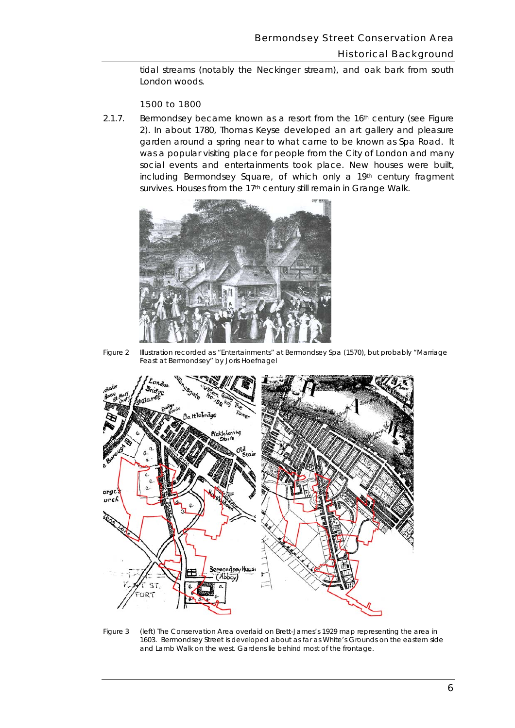tidal streams (notably the Neckinger stream), and oak bark from south London woods.

#### 1500 to 1800

survives. Houses from the 17<sup>th</sup> century still remain in Grange Walk. 2.1.7. Bermondsey became known as a resort from the  $16<sup>th</sup>$  century (see Figure 2). In about 1780, Thomas Keyse developed an art gallery and pleasure garden around a spring near to what came to be known as Spa Road. It was a popular visiting place for people from the City of London and many social events and entertainments took place. New houses were built, including Bermondsey Square, of which only a 19th century fragment



*Figure 2 Illustration recorded as "Entertainments" at Bermondsey Spa (1570), but probably "Marriage Feast at Bermondsey" by Joris Hoefnagel* 



*Figure 3 (left) The Conservation Area overlaid on Brett-James's 1929 map representing the area in 1603. Bermondsey Street is developed about as far as White's Grounds on the eastern side and Lamb Walk on the west. Gardens lie behind most of the frontage.*